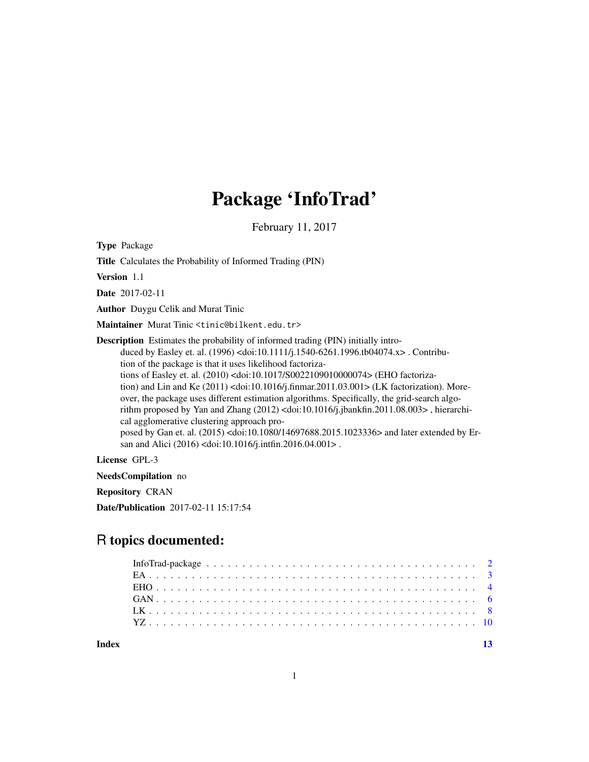## Package 'InfoTrad'

February 11, 2017

Type Package

Title Calculates the Probability of Informed Trading (PIN)

Version 1.1

Date 2017-02-11

Author Duygu Celik and Murat Tinic

Maintainer Murat Tinic <tinic@bilkent.edu.tr>

Description Estimates the probability of informed trading (PIN) initially introduced by Easley et. al. (1996) <doi:10.1111/j.1540-6261.1996.tb04074.x> . Contribution of the package is that it uses likelihood factorizations of Easley et. al. (2010) <doi:10.1017/S0022109010000074> (EHO factorization) and Lin and Ke (2011) <doi:10.1016/j.finmar.2011.03.001> (LK factorization). Moreover, the package uses different estimation algorithms. Specifically, the grid-search algorithm proposed by Yan and Zhang (2012) <doi:10.1016/j.jbankfin.2011.08.003>, hierarchical agglomerative clustering approach proposed by Gan et. al. (2015) <doi:10.1080/14697688.2015.1023336> and later extended by Ersan and Alici (2016) <doi:10.1016/j.intfin.2016.04.001>.

License GPL-3

NeedsCompilation no

Repository CRAN

Date/Publication 2017-02-11 15:17:54

### R topics documented:

**Index** [13](#page-12-0)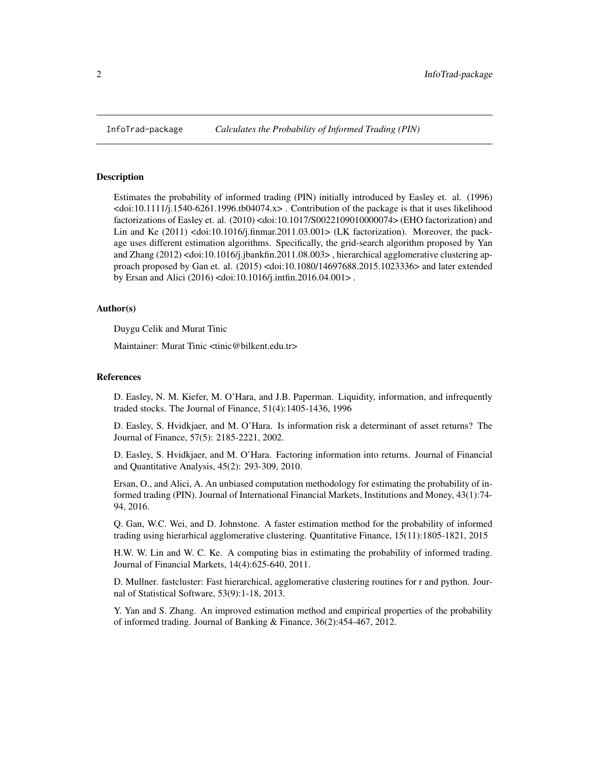<span id="page-1-0"></span>

#### **Description**

Estimates the probability of informed trading (PIN) initially introduced by Easley et. al. (1996)  $\alpha$  <doi:10.1111/j.1540-6261.1996.tb04074.x>. Contribution of the package is that it uses likelihood factorizations of Easley et. al. (2010) <doi:10.1017/S0022109010000074> (EHO factorization) and Lin and Ke  $(2011)$  <doi:10.1016/j.finmar.2011.03.001> (LK factorization). Moreover, the package uses different estimation algorithms. Specifically, the grid-search algorithm proposed by Yan and Zhang (2012) <doi:10.1016/j.jbankfin.2011.08.003> , hierarchical agglomerative clustering approach proposed by Gan et. al. (2015) <doi:10.1080/14697688.2015.1023336> and later extended by Ersan and Alici (2016) <doi:10.1016/j.intfin.2016.04.001> .

#### Author(s)

Duygu Celik and Murat Tinic

Maintainer: Murat Tinic <tinic@bilkent.edu.tr>

#### References

D. Easley, N. M. Kiefer, M. O'Hara, and J.B. Paperman. Liquidity, information, and infrequently traded stocks. The Journal of Finance, 51(4):1405-1436, 1996

D. Easley, S. Hvidkjaer, and M. O'Hara. Is information risk a determinant of asset returns? The Journal of Finance, 57(5): 2185-2221, 2002.

D. Easley, S. Hvidkjaer, and M. O'Hara. Factoring information into returns. Journal of Financial and Quantitative Analysis, 45(2): 293-309, 2010.

Ersan, O., and Alici, A. An unbiased computation methodology for estimating the probability of informed trading (PIN). Journal of International Financial Markets, Institutions and Money, 43(1):74- 94, 2016.

Q. Gan, W.C. Wei, and D. Johnstone. A faster estimation method for the probability of informed trading using hierarhical agglomerative clustering. Quantitative Finance, 15(11):1805-1821, 2015

H.W. W. Lin and W. C. Ke. A computing bias in estimating the probability of informed trading. Journal of Financial Markets, 14(4):625-640, 2011.

D. Mullner. fastcluster: Fast hierarchical, agglomerative clustering routines for r and python. Journal of Statistical Software, 53(9):1-18, 2013.

Y. Yan and S. Zhang. An improved estimation method and empirical properties of the probability of informed trading. Journal of Banking & Finance, 36(2):454-467, 2012.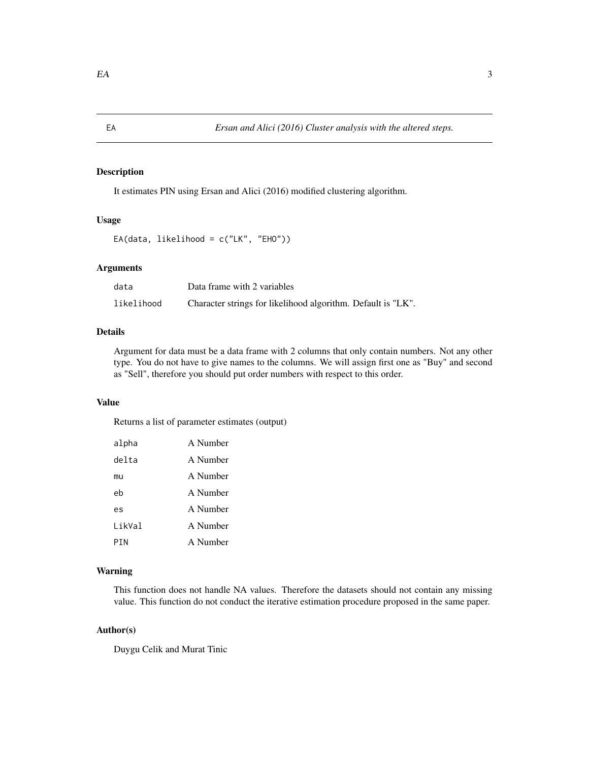<span id="page-2-0"></span>EA *Ersan and Alici (2016) Cluster analysis with the altered steps.*

#### Description

It estimates PIN using Ersan and Alici (2016) modified clustering algorithm.

#### Usage

```
EA(data, likelihood = c("LK", "EHO"))
```
#### Arguments

| data       | Data frame with 2 variables                                  |
|------------|--------------------------------------------------------------|
| likelihood | Character strings for likelihood algorithm. Default is "LK". |

#### Details

Argument for data must be a data frame with 2 columns that only contain numbers. Not any other type. You do not have to give names to the columns. We will assign first one as "Buy" and second as "Sell", therefore you should put order numbers with respect to this order.

#### Value

Returns a list of parameter estimates (output)

| alpha  | A Number |
|--------|----------|
| delta  | A Number |
| mu     | A Number |
| eh     | A Number |
| es     | A Number |
| likVal | A Number |
| PTN    | A Number |

#### Warning

This function does not handle NA values. Therefore the datasets should not contain any missing value. This function do not conduct the iterative estimation procedure proposed in the same paper.

#### Author(s)

Duygu Celik and Murat Tinic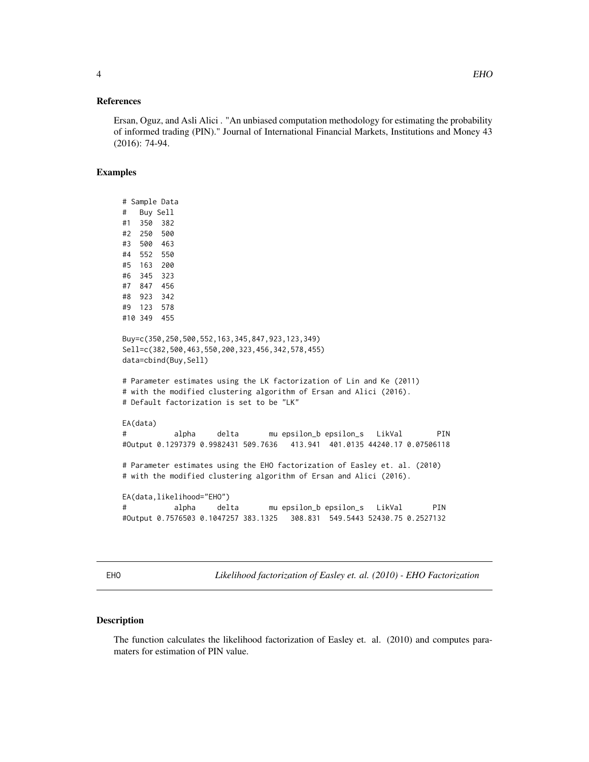#### <span id="page-3-0"></span>References

Ersan, Oguz, and Asli Alici . "An unbiased computation methodology for estimating the probability of informed trading (PIN)." Journal of International Financial Markets, Institutions and Money 43 (2016): 74-94.

#### Examples

```
# Sample Data
# Buy Sell
#1 350 382
#2 250 500
#3 500 463
#4 552 550
#5 163
#6 345 323
#7 847 456
#8 923 342
#9 123 578
#10 349 455
Buy=c(350,250,500,552,163,345,847,923,123,349)
Sell=c(382,500,463,550,200,323,456,342,578,455)
data=cbind(Buy,Sell)
# Parameter estimates using the LK factorization of Lin and Ke (2011)
# with the modified clustering algorithm of Ersan and Alici (2016).
# Default factorization is set to be "LK"
EA(data)
# alpha delta mu epsilon_b epsilon_s LikVal PIN
#Output 0.1297379 0.9982431 509.7636 413.941 401.0135 44240.17 0.07506118
# Parameter estimates using the EHO factorization of Easley et. al. (2010)
# with the modified clustering algorithm of Ersan and Alici (2016).
EA(data,likelihood="EHO")
# alpha delta mu epsilon_b epsilon_s LikVal PIN
#Output 0.7576503 0.1047257 383.1325 308.831 549.5443 52430.75 0.2527132
```
EHO *Likelihood factorization of Easley et. al. (2010) - EHO Factorization*

#### Description

The function calculates the likelihood factorization of Easley et. al. (2010) and computes paramaters for estimation of PIN value.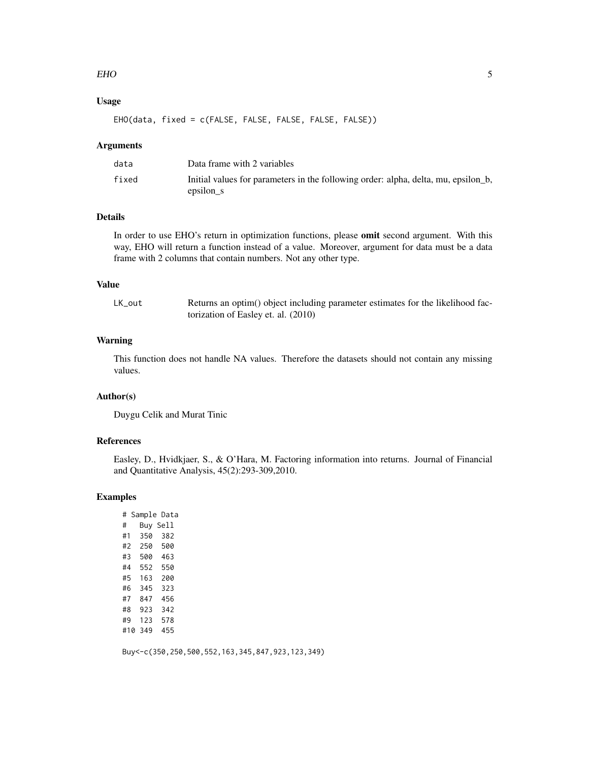#### EHO 5

#### Usage

EHO(data, fixed = c(FALSE, FALSE, FALSE, FALSE, FALSE))

#### Arguments

| data  | Data frame with 2 variables                                                                     |
|-------|-------------------------------------------------------------------------------------------------|
| fixed | Initial values for parameters in the following order: alpha, delta, mu, epsilon b,<br>epsilon s |

#### Details

In order to use EHO's return in optimization functions, please **omit** second argument. With this way, EHO will return a function instead of a value. Moreover, argument for data must be a data frame with 2 columns that contain numbers. Not any other type.

#### Value

```
LK_out Returns an optim() object including parameter estimates for the likelihood fac-
                 torization of Easley et. al. (2010)
```
#### Warning

This function does not handle NA values. Therefore the datasets should not contain any missing values.

#### Author(s)

Duygu Celik and Murat Tinic

#### References

Easley, D., Hvidkjaer, S., & O'Hara, M. Factoring information into returns. Journal of Financial and Quantitative Analysis, 45(2):293-309,2010.

#### Examples

|      | # Sample Data |     |
|------|---------------|-----|
| $\#$ | Buy Sell      |     |
|      | #1 350 382    |     |
|      | #2 250 500    |     |
|      | #3 500 463    |     |
| #4   | 552 550       |     |
| #5   | 163           | 200 |
|      | #6345         | 323 |
|      | #7 847 456    |     |
|      | #8 923 342    |     |
|      | #9 123        | 578 |
|      | #10 349 455   |     |

Buy<-c(350,250,500,552,163,345,847,923,123,349)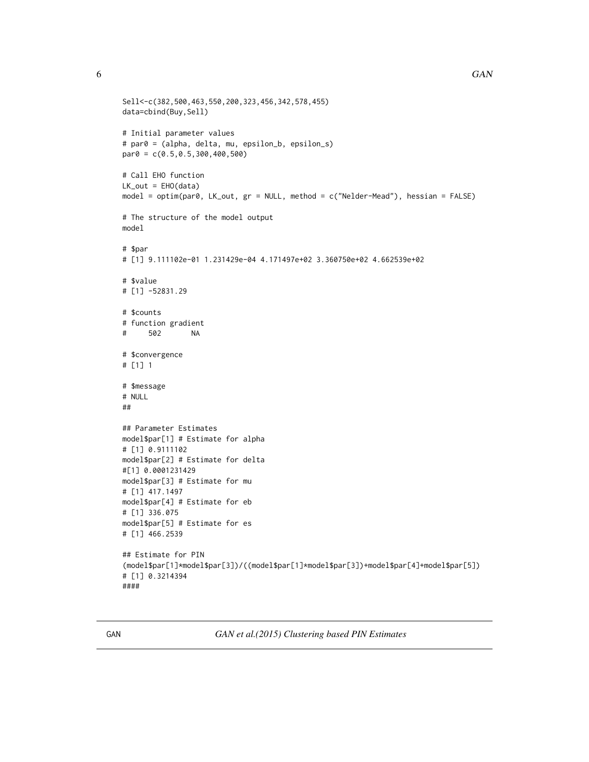```
Sell<-c(382,500,463,550,200,323,456,342,578,455)
data=cbind(Buy,Sell)
# Initial parameter values
# par0 = (alpha, delta, mu, epsilon_b, epsilon_s)
par0 = c(0.5,0.5,300,400,500)
# Call EHO function
LK_out = EHO(data)model = optim(par0, LK_out, gr = NULL, method = c("Nelder-Mead"), hessian = FALSE)
# The structure of the model output
model
# $par
# [1] 9.111102e-01 1.231429e-04 4.171497e+02 3.360750e+02 4.662539e+02
# $value
# [1] -52831.29
# $counts
# function gradient
# 502 NA
# $convergence
# [1] 1
# $message
# NULL
##
## Parameter Estimates
model$par[1] # Estimate for alpha
# [1] 0.9111102
model$par[2] # Estimate for delta
#[1] 0.0001231429
model$par[3] # Estimate for mu
# [1] 417.1497
model$par[4] # Estimate for eb
# [1] 336.075
model$par[5] # Estimate for es
# [1] 466.2539
## Estimate for PIN
(model$par[1]*model$par[3])/((model$par[1]*model$par[3])+model$par[4]+model$par[5])
# [1] 0.3214394
####
```
<span id="page-5-0"></span>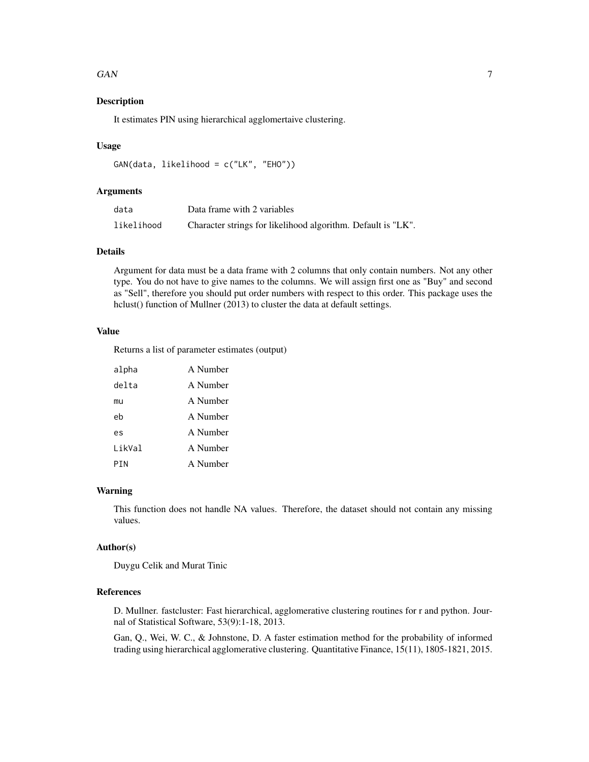#### $GAN$  7

#### Description

It estimates PIN using hierarchical agglomertaive clustering.

#### Usage

```
GAN(data, likelihood = c("LK", "EHO"))
```
#### Arguments

| data       | Data frame with 2 variables                                  |
|------------|--------------------------------------------------------------|
| likelihood | Character strings for likelihood algorithm. Default is "LK". |

#### Details

Argument for data must be a data frame with 2 columns that only contain numbers. Not any other type. You do not have to give names to the columns. We will assign first one as "Buy" and second as "Sell", therefore you should put order numbers with respect to this order. This package uses the hclust() function of Mullner (2013) to cluster the data at default settings.

#### Value

Returns a list of parameter estimates (output)

| alpha  | A Number |
|--------|----------|
| delta  | A Number |
| mu     | A Number |
| eh     | A Number |
| es     | A Number |
| likVal | A Number |
| PTN    | A Number |

#### Warning

This function does not handle NA values. Therefore, the dataset should not contain any missing values.

#### Author(s)

Duygu Celik and Murat Tinic

#### References

D. Mullner. fastcluster: Fast hierarchical, agglomerative clustering routines for r and python. Journal of Statistical Software, 53(9):1-18, 2013.

Gan, Q., Wei, W. C., & Johnstone, D. A faster estimation method for the probability of informed trading using hierarchical agglomerative clustering. Quantitative Finance, 15(11), 1805-1821, 2015.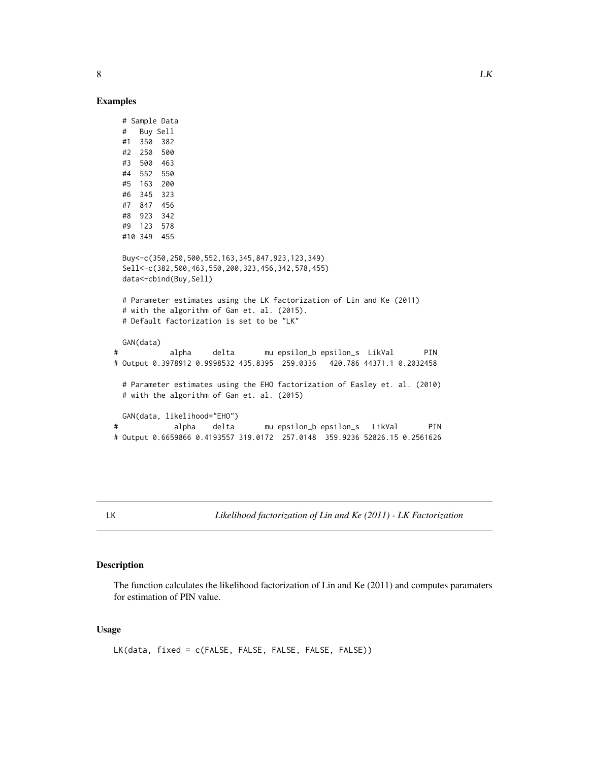#### <span id="page-7-0"></span>Examples

```
# Sample Data
 # Buy Sell
 #1 350 382
 #2 250 500
 #3 500 463
 #4 552 550
 #5 163 200
 #6 345 323
 #7 847 456
 #8 923 342
 #9 123 578
 #10 349 455
 Buy<-c(350,250,500,552,163,345,847,923,123,349)
 Sell<-c(382,500,463,550,200,323,456,342,578,455)
 data<-cbind(Buy,Sell)
 # Parameter estimates using the LK factorization of Lin and Ke (2011)
 # with the algorithm of Gan et. al. (2015).
 # Default factorization is set to be "LK"
 GAN(data)
# alpha delta mu epsilon_b epsilon_s LikVal PIN
# Output 0.3978912 0.9998532 435.8395 259.0336 420.786 44371.1 0.2032458
 # Parameter estimates using the EHO factorization of Easley et. al. (2010)
 # with the algorithm of Gan et. al. (2015)
 GAN(data, likelihood="EHO")
# alpha delta mu epsilon_b epsilon_s LikVal PIN
# Output 0.6659866 0.4193557 319.0172 257.0148 359.9236 52826.15 0.2561626
```
LK *Likelihood factorization of Lin and Ke (2011) - LK Factorization*

#### Description

The function calculates the likelihood factorization of Lin and Ke (2011) and computes paramaters for estimation of PIN value.

#### Usage

LK(data, fixed = c(FALSE, FALSE, FALSE, FALSE, FALSE))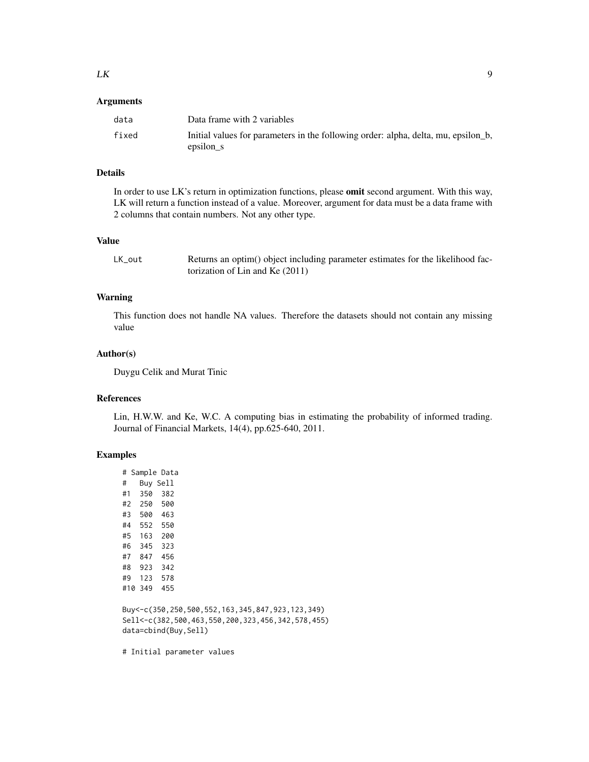#### Arguments

| data  | Data frame with 2 variables                                                                     |
|-------|-------------------------------------------------------------------------------------------------|
| fixed | Initial values for parameters in the following order: alpha, delta, mu, epsilon b,<br>epsilon s |

#### Details

In order to use LK's return in optimization functions, please omit second argument. With this way, LK will return a function instead of a value. Moreover, argument for data must be a data frame with 2 columns that contain numbers. Not any other type.

#### Value

| LK out | Returns an optim() object including parameter estimates for the likelihood fac- |
|--------|---------------------------------------------------------------------------------|
|        | torization of Lin and Ke $(2011)$                                               |

#### Warning

This function does not handle NA values. Therefore the datasets should not contain any missing value

#### Author(s)

Duygu Celik and Murat Tinic

#### References

Lin, H.W.W. and Ke, W.C. A computing bias in estimating the probability of informed trading. Journal of Financial Markets, 14(4), pp.625-640, 2011.

#### Examples

|                                                               |          | # Sample Data |                                                              |
|---------------------------------------------------------------|----------|---------------|--------------------------------------------------------------|
|                                                               |          |               |                                                              |
| #                                                             | Buy Sell |               |                                                              |
| #1                                                            | 350      | 382           |                                                              |
| #2                                                            | 250      | 500           |                                                              |
| #3                                                            | 500 463  |               |                                                              |
| #4                                                            | 552 550  |               |                                                              |
| #5                                                            | 163      | 200           |                                                              |
| #6                                                            | 345      | 323           |                                                              |
| #7                                                            | 847      | 456           |                                                              |
| #8                                                            | 923      | 342           |                                                              |
| #9                                                            | 123      | 578           |                                                              |
|                                                               | #10 349  | 455           |                                                              |
|                                                               |          |               |                                                              |
|                                                               |          |               | Buy < - c (350, 250, 500, 552, 163, 345, 847, 923, 123, 349) |
| Sell < - c (382, 500, 463, 550, 200, 323, 456, 342, 578, 455) |          |               |                                                              |
| data=cbind(Buy,Sell)                                          |          |               |                                                              |
|                                                               |          |               |                                                              |

# Initial parameter values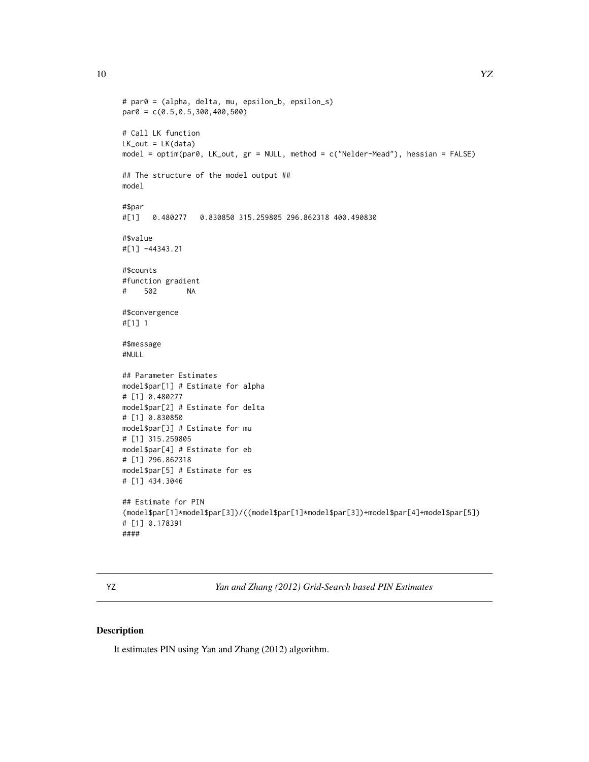```
# par0 = (alpha, delta, mu, epsilon_b, epsilon_s)
par0 = c(0.5,0.5,300,400,500)
# Call LK function
LK_out = LK(data)model = optim(par0, LK_out, gr = NULL, method = c("Nelder-Mead"), hessian = FALSE)
## The structure of the model output ##
model
#$par
#[1] 0.480277 0.830850 315.259805 296.862318 400.490830
#$value
#[1] -44343.21
#$counts
#function gradient
# 502 NA
#$convergence
#[1] 1
#$message
#NULL
## Parameter Estimates
model$par[1] # Estimate for alpha
# [1] 0.480277
model$par[2] # Estimate for delta
# [1] 0.830850
model$par[3] # Estimate for mu
# [1] 315.259805
model$par[4] # Estimate for eb
# [1] 296.862318
model$par[5] # Estimate for es
# [1] 434.3046
## Estimate for PIN
(model$par[1]*model$par[3])/((model$par[1]*model$par[3])+model$par[4]+model$par[5])
# [1] 0.178391
####
```
YZ *Yan and Zhang (2012) Grid-Search based PIN Estimates*

#### Description

It estimates PIN using Yan and Zhang (2012) algorithm.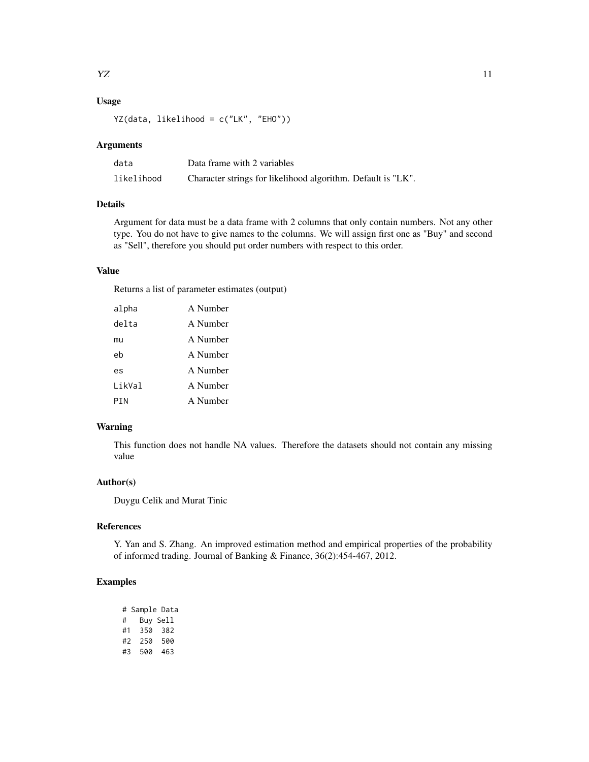#### Usage

```
YZ(data, likelihood = c("LK", "EHO"))
```
#### Arguments

| data       | Data frame with 2 variables                                  |
|------------|--------------------------------------------------------------|
| likelihood | Character strings for likelihood algorithm. Default is "LK". |

#### Details

Argument for data must be a data frame with 2 columns that only contain numbers. Not any other type. You do not have to give names to the columns. We will assign first one as "Buy" and second as "Sell", therefore you should put order numbers with respect to this order.

#### Value

Returns a list of parameter estimates (output)

| alpha  | A Number |
|--------|----------|
| delta  | A Number |
| mu     | A Number |
| eh     | A Number |
| es     | A Number |
| likVal | A Number |
| PTN    | A Number |

#### Warning

This function does not handle NA values. Therefore the datasets should not contain any missing value

#### Author(s)

Duygu Celik and Murat Tinic

#### References

Y. Yan and S. Zhang. An improved estimation method and empirical properties of the probability of informed trading. Journal of Banking & Finance, 36(2):454-467, 2012.

#### Examples

# Sample Data # Buy Sell #1 350 382 #2 250 500 #3 500 463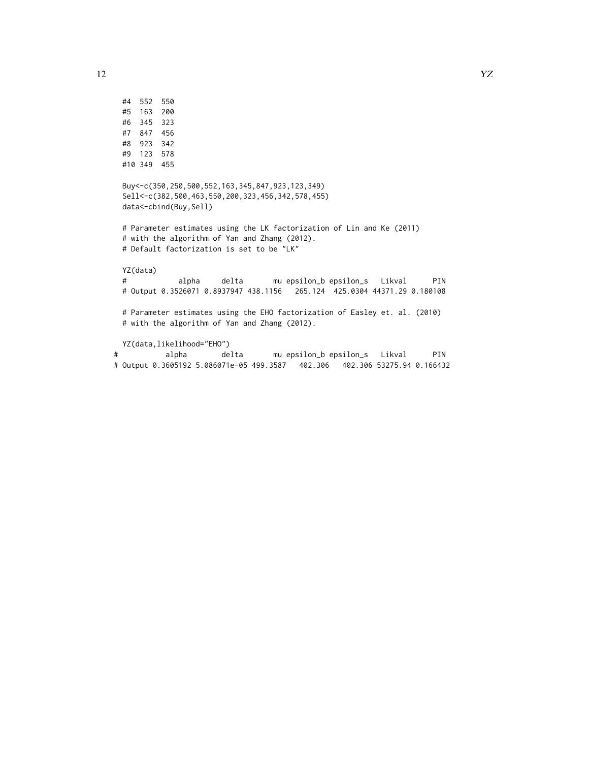#4 552 550 #5 163 200 #6 345 323 #7 847 456 #8 923 342 #9 123 578 #10 349 455 Buy<-c(350,250,500,552,163,345,847,923,123,349) Sell<-c(382,500,463,550,200,323,456,342,578,455) data<-cbind(Buy,Sell) # Parameter estimates using the LK factorization of Lin and Ke (2011) # with the algorithm of Yan and Zhang (2012). # Default factorization is set to be "LK" YZ(data) # alpha delta mu epsilon\_b epsilon\_s Likval PIN # Output 0.3526071 0.8937947 438.1156 265.124 425.0304 44371.29 0.180108 # Parameter estimates using the EHO factorization of Easley et. al. (2010) # with the algorithm of Yan and Zhang (2012). YZ(data,likelihood="EHO") # alpha delta mu epsilon\_b epsilon\_s Likval PIN # Output 0.3605192 5.086071e-05 499.3587 402.306 402.306 53275.94 0.166432